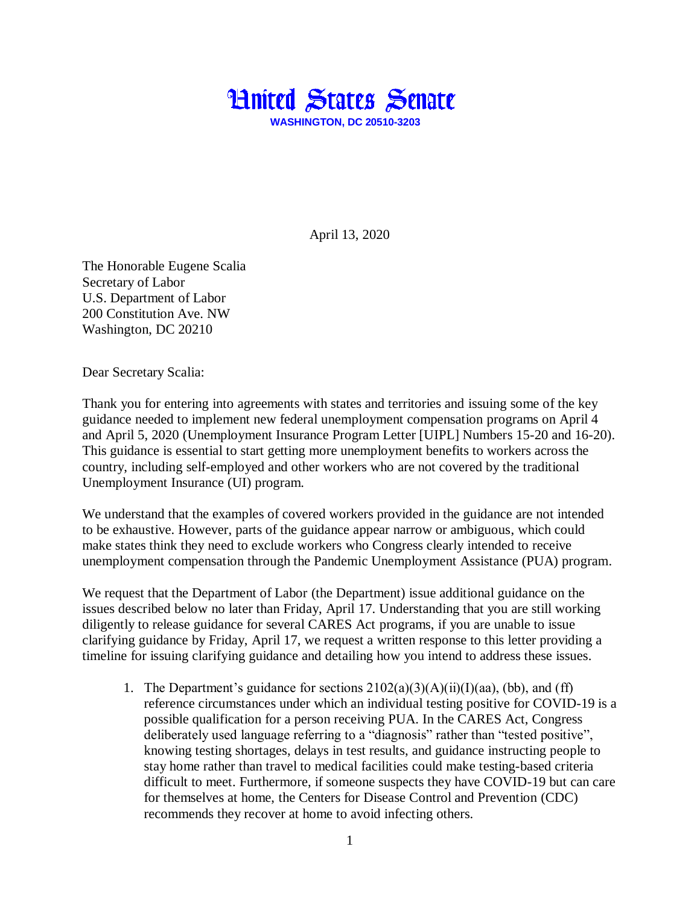

April 13, 2020

The Honorable Eugene Scalia Secretary of Labor U.S. Department of Labor 200 Constitution Ave. NW Washington, DC 20210

Dear Secretary Scalia:

Thank you for entering into agreements with states and territories and issuing some of the key guidance needed to implement new federal unemployment compensation programs on April 4 and April 5, 2020 (Unemployment Insurance Program Letter [UIPL] Numbers 15-20 and 16-20). This guidance is essential to start getting more unemployment benefits to workers across the country, including self-employed and other workers who are not covered by the traditional Unemployment Insurance (UI) program.

We understand that the examples of covered workers provided in the guidance are not intended to be exhaustive. However, parts of the guidance appear narrow or ambiguous, which could make states think they need to exclude workers who Congress clearly intended to receive unemployment compensation through the Pandemic Unemployment Assistance (PUA) program.

We request that the Department of Labor (the Department) issue additional guidance on the issues described below no later than Friday, April 17. Understanding that you are still working diligently to release guidance for several CARES Act programs, if you are unable to issue clarifying guidance by Friday, April 17, we request a written response to this letter providing a timeline for issuing clarifying guidance and detailing how you intend to address these issues.

1. The Department's guidance for sections  $2102(a)(3)(A)(ii)(I)(aa)$ , (bb), and (ff) reference circumstances under which an individual testing positive for COVID-19 is a possible qualification for a person receiving PUA. In the CARES Act, Congress deliberately used language referring to a "diagnosis" rather than "tested positive", knowing testing shortages, delays in test results, and guidance instructing people to stay home rather than travel to medical facilities could make testing-based criteria difficult to meet. Furthermore, if someone suspects they have COVID-19 but can care for themselves at home, the Centers for Disease Control and Prevention (CDC) recommends they recover at home to avoid infecting others.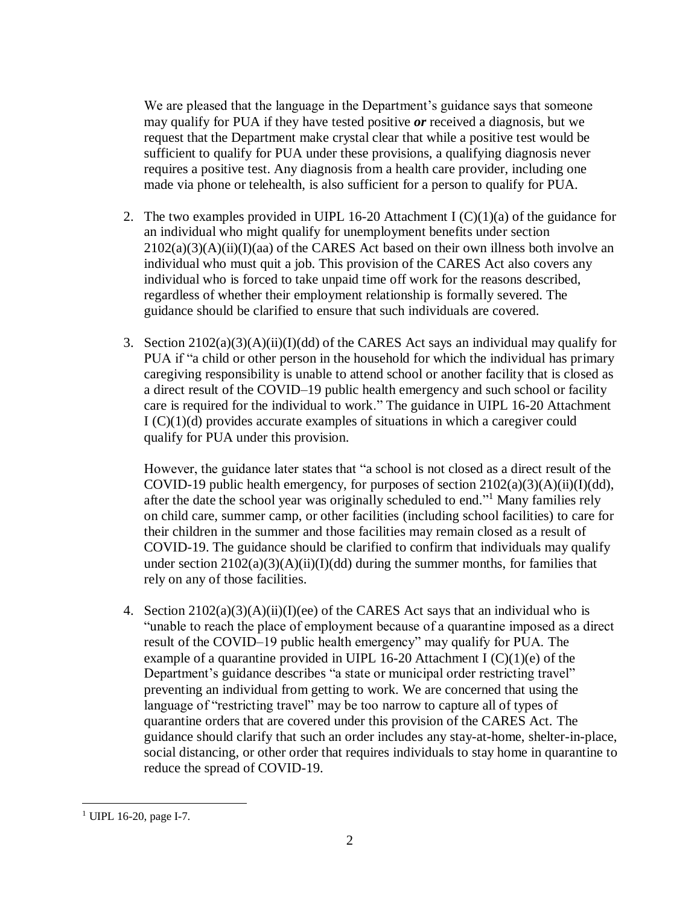We are pleased that the language in the Department's guidance says that someone may qualify for PUA if they have tested positive *or* received a diagnosis, but we request that the Department make crystal clear that while a positive test would be sufficient to qualify for PUA under these provisions, a qualifying diagnosis never requires a positive test. Any diagnosis from a health care provider, including one made via phone or telehealth, is also sufficient for a person to qualify for PUA.

- 2. The two examples provided in UIPL 16-20 Attachment I  $(C)(1)(a)$  of the guidance for an individual who might qualify for unemployment benefits under section  $2102(a)(3)(A)(ii)(I)(aa)$  of the CARES Act based on their own illness both involve an individual who must quit a job. This provision of the CARES Act also covers any individual who is forced to take unpaid time off work for the reasons described, regardless of whether their employment relationship is formally severed. The guidance should be clarified to ensure that such individuals are covered.
- 3. Section  $2102(a)(3)(A)(ii)(I)(dd)$  of the CARES Act says an individual may qualify for PUA if "a child or other person in the household for which the individual has primary caregiving responsibility is unable to attend school or another facility that is closed as a direct result of the COVID–19 public health emergency and such school or facility care is required for the individual to work." The guidance in UIPL 16-20 Attachment  $I(C)(1)(d)$  provides accurate examples of situations in which a caregiver could qualify for PUA under this provision.

However, the guidance later states that "a school is not closed as a direct result of the COVID-19 public health emergency, for purposes of section  $2102(a)(3)(A)(ii)(I)(dd)$ , after the date the school year was originally scheduled to end." <sup>1</sup> Many families rely on child care, summer camp, or other facilities (including school facilities) to care for their children in the summer and those facilities may remain closed as a result of COVID-19. The guidance should be clarified to confirm that individuals may qualify under section  $2102(a)(3)(A)(ii)(I)(dd)$  during the summer months, for families that rely on any of those facilities.

4. Section  $2102(a)(3)(A)(ii)(I)(ee)$  of the CARES Act says that an individual who is "unable to reach the place of employment because of a quarantine imposed as a direct result of the COVID–19 public health emergency" may qualify for PUA. The example of a quarantine provided in UIPL 16-20 Attachment I  $(C)(1)(e)$  of the Department's guidance describes "a state or municipal order restricting travel" preventing an individual from getting to work. We are concerned that using the language of "restricting travel" may be too narrow to capture all of types of quarantine orders that are covered under this provision of the CARES Act. The guidance should clarify that such an order includes any stay-at-home, shelter-in-place, social distancing, or other order that requires individuals to stay home in quarantine to reduce the spread of COVID-19.

 $\overline{a}$ <sup>1</sup> UIPL 16-20, page I-7.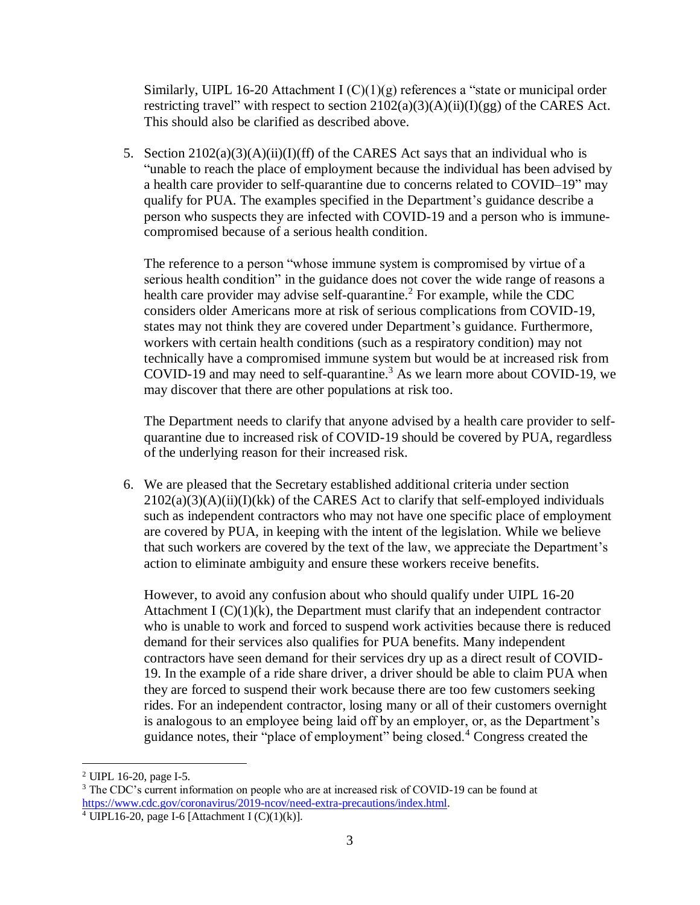Similarly, UIPL 16-20 Attachment I (C)(1)(g) references a "state or municipal order restricting travel" with respect to section  $2102(a)(3)(A)(ii)(I)(gg)$  of the CARES Act. This should also be clarified as described above.

5. Section  $2102(a)(3)(A)(ii)(I)(ff)$  of the CARES Act says that an individual who is "unable to reach the place of employment because the individual has been advised by a health care provider to self-quarantine due to concerns related to COVID–19" may qualify for PUA. The examples specified in the Department's guidance describe a person who suspects they are infected with COVID-19 and a person who is immunecompromised because of a serious health condition.

The reference to a person "whose immune system is compromised by virtue of a serious health condition" in the guidance does not cover the wide range of reasons a health care provider may advise self-quarantine.<sup>2</sup> For example, while the CDC considers older Americans more at risk of serious complications from COVID-19, states may not think they are covered under Department's guidance. Furthermore, workers with certain health conditions (such as a respiratory condition) may not technically have a compromised immune system but would be at increased risk from COVID-19 and may need to self-quarantine.<sup>3</sup> As we learn more about COVID-19, we may discover that there are other populations at risk too.

The Department needs to clarify that anyone advised by a health care provider to selfquarantine due to increased risk of COVID-19 should be covered by PUA, regardless of the underlying reason for their increased risk.

6. We are pleased that the Secretary established additional criteria under section  $2102(a)(3)(A)(ii)(I)(kk)$  of the CARES Act to clarify that self-employed individuals such as independent contractors who may not have one specific place of employment are covered by PUA, in keeping with the intent of the legislation. While we believe that such workers are covered by the text of the law, we appreciate the Department's action to eliminate ambiguity and ensure these workers receive benefits.

However, to avoid any confusion about who should qualify under UIPL 16-20 Attachment I  $(C)(1)(k)$ , the Department must clarify that an independent contractor who is unable to work and forced to suspend work activities because there is reduced demand for their services also qualifies for PUA benefits. Many independent contractors have seen demand for their services dry up as a direct result of COVID-19. In the example of a ride share driver, a driver should be able to claim PUA when they are forced to suspend their work because there are too few customers seeking rides. For an independent contractor, losing many or all of their customers overnight is analogous to an employee being laid off by an employer, or, as the Department's guidance notes, their "place of employment" being closed.<sup>4</sup> Congress created the

 $\overline{a}$ 

<sup>2</sup> UIPL 16-20, page I-5.

<sup>&</sup>lt;sup>3</sup> The CDC's current information on people who are at increased risk of COVID-19 can be found at [https://www.cdc.gov/coronavirus/2019-ncov/need-extra-precautions/index.html.](https://www.cdc.gov/coronavirus/2019-ncov/need-extra-precautions/index.html)

 $4$  UIPL16-20, page I-6 [Attachment I (C)(1)(k)].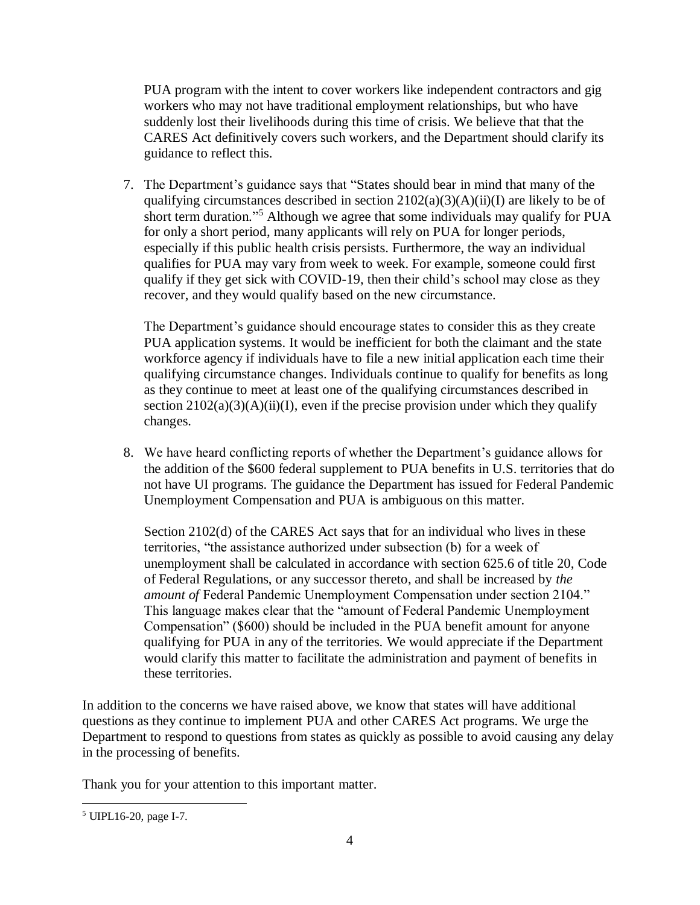PUA program with the intent to cover workers like independent contractors and gig workers who may not have traditional employment relationships, but who have suddenly lost their livelihoods during this time of crisis. We believe that that the CARES Act definitively covers such workers, and the Department should clarify its guidance to reflect this.

7. The Department's guidance says that "States should bear in mind that many of the qualifying circumstances described in section  $2102(a)(3)(A)(ii)(I)$  are likely to be of short term duration." <sup>5</sup> Although we agree that some individuals may qualify for PUA for only a short period, many applicants will rely on PUA for longer periods, especially if this public health crisis persists. Furthermore, the way an individual qualifies for PUA may vary from week to week. For example, someone could first qualify if they get sick with COVID-19, then their child's school may close as they recover, and they would qualify based on the new circumstance.

The Department's guidance should encourage states to consider this as they create PUA application systems. It would be inefficient for both the claimant and the state workforce agency if individuals have to file a new initial application each time their qualifying circumstance changes. Individuals continue to qualify for benefits as long as they continue to meet at least one of the qualifying circumstances described in section  $2102(a)(3)(A)(ii)(I)$ , even if the precise provision under which they qualify changes.

8. We have heard conflicting reports of whether the Department's guidance allows for the addition of the \$600 federal supplement to PUA benefits in U.S. territories that do not have UI programs. The guidance the Department has issued for Federal Pandemic Unemployment Compensation and PUA is ambiguous on this matter.

Section 2102(d) of the CARES Act says that for an individual who lives in these territories, "the assistance authorized under subsection (b) for a week of unemployment shall be calculated in accordance with section 625.6 of title 20, Code of Federal Regulations, or any successor thereto, and shall be increased by *the amount of* Federal Pandemic Unemployment Compensation under section 2104." This language makes clear that the "amount of Federal Pandemic Unemployment Compensation" (\$600) should be included in the PUA benefit amount for anyone qualifying for PUA in any of the territories. We would appreciate if the Department would clarify this matter to facilitate the administration and payment of benefits in these territories.

In addition to the concerns we have raised above, we know that states will have additional questions as they continue to implement PUA and other CARES Act programs. We urge the Department to respond to questions from states as quickly as possible to avoid causing any delay in the processing of benefits.

Thank you for your attention to this important matter.

 $\overline{a}$ <sup>5</sup> UIPL16-20, page I-7.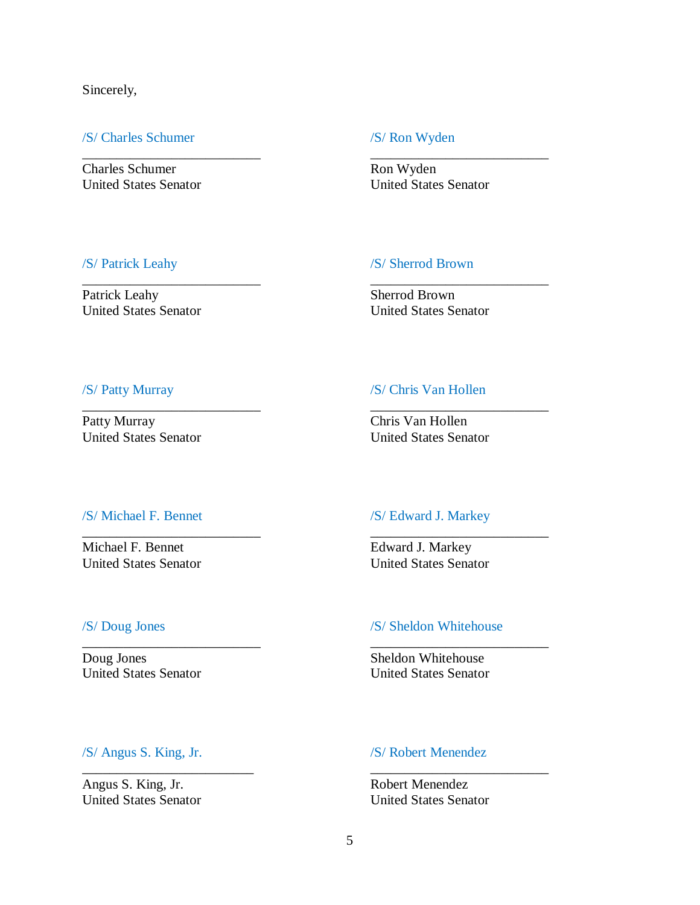Sincerely,

## /S/ Charles Schumer /S/ Ron Wyden

Charles Schumer Ron Wyden United States Senator United States Senator

\_\_\_\_\_\_\_\_\_\_\_\_\_\_\_\_\_\_\_\_\_\_\_\_\_\_ \_\_\_\_\_\_\_\_\_\_\_\_\_\_\_\_\_\_\_\_\_\_\_\_\_\_

\_\_\_\_\_\_\_\_\_\_\_\_\_\_\_\_\_\_\_\_\_\_\_\_\_\_ \_\_\_\_\_\_\_\_\_\_\_\_\_\_\_\_\_\_\_\_\_\_\_\_\_\_

\_\_\_\_\_\_\_\_\_\_\_\_\_\_\_\_\_\_\_\_\_\_\_\_\_\_ \_\_\_\_\_\_\_\_\_\_\_\_\_\_\_\_\_\_\_\_\_\_\_\_\_\_

\_\_\_\_\_\_\_\_\_\_\_\_\_\_\_\_\_\_\_\_\_\_\_\_\_\_ \_\_\_\_\_\_\_\_\_\_\_\_\_\_\_\_\_\_\_\_\_\_\_\_\_\_

\_\_\_\_\_\_\_\_\_\_\_\_\_\_\_\_\_\_\_\_\_\_\_\_\_\_ \_\_\_\_\_\_\_\_\_\_\_\_\_\_\_\_\_\_\_\_\_\_\_\_\_\_

\_\_\_\_\_\_\_\_\_\_\_\_\_\_\_\_\_\_\_\_\_\_\_\_\_ \_\_\_\_\_\_\_\_\_\_\_\_\_\_\_\_\_\_\_\_\_\_\_\_\_\_

## /S/ Patrick Leahy /S/ Sherrod Brown

Patrick Leahy Sherrod Brown United States Senator United States Senator

# /S/ Patty Murray /S/ Chris Van Hollen

Patty Murray Chris Van Hollen United States Senator United States Senator

Michael F. Bennet Edward J. Markey United States Senator United States Senator

## /S/ Michael F. Bennet /S/ Edward J. Markey

Doug Jones<br>
United States Senator<br>
United States Senator<br>
United States Senator

# /S/ Doug Jones /S/ Sheldon Whitehouse

United States Senator

## /S/ Angus S. King, Jr. /S/ Robert Menendez

Angus S. King, Jr. Robert Menendez United States Senator United States Senator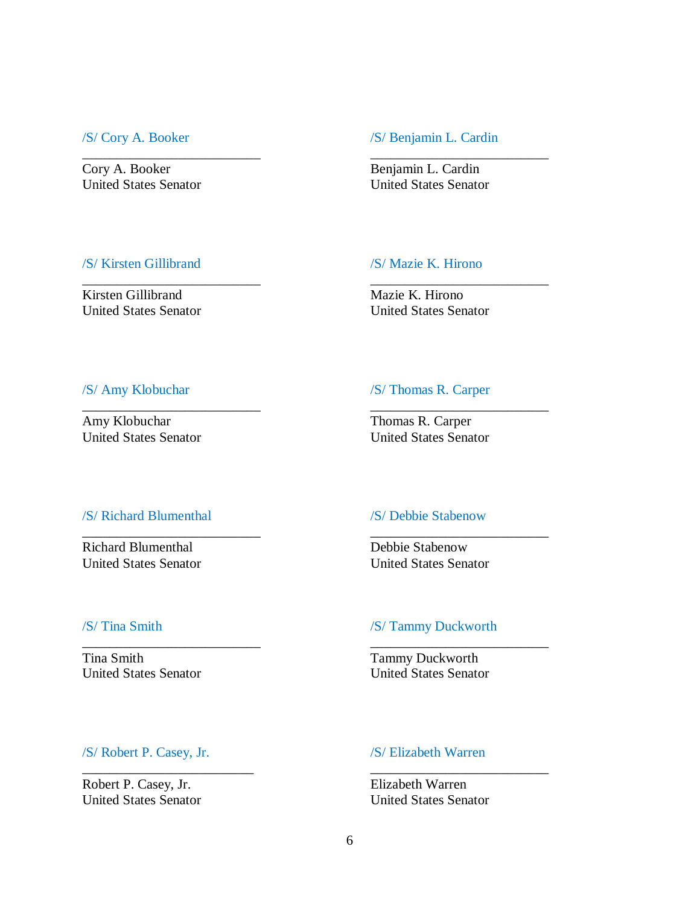Cory A. Booker Benjamin L. Cardin United States Senator United States Senator

## /S/ Cory A. Booker /S/ Benjamin L. Cardin

\_\_\_\_\_\_\_\_\_\_\_\_\_\_\_\_\_\_\_\_\_\_\_\_\_\_ \_\_\_\_\_\_\_\_\_\_\_\_\_\_\_\_\_\_\_\_\_\_\_\_\_\_

\_\_\_\_\_\_\_\_\_\_\_\_\_\_\_\_\_\_\_\_\_\_\_\_\_\_ \_\_\_\_\_\_\_\_\_\_\_\_\_\_\_\_\_\_\_\_\_\_\_\_\_\_

\_\_\_\_\_\_\_\_\_\_\_\_\_\_\_\_\_\_\_\_\_\_\_\_\_\_ \_\_\_\_\_\_\_\_\_\_\_\_\_\_\_\_\_\_\_\_\_\_\_\_\_\_

\_\_\_\_\_\_\_\_\_\_\_\_\_\_\_\_\_\_\_\_\_\_\_\_\_\_ \_\_\_\_\_\_\_\_\_\_\_\_\_\_\_\_\_\_\_\_\_\_\_\_\_\_

\_\_\_\_\_\_\_\_\_\_\_\_\_\_\_\_\_\_\_\_\_\_\_\_\_\_ \_\_\_\_\_\_\_\_\_\_\_\_\_\_\_\_\_\_\_\_\_\_\_\_\_\_

\_\_\_\_\_\_\_\_\_\_\_\_\_\_\_\_\_\_\_\_\_\_\_\_\_ \_\_\_\_\_\_\_\_\_\_\_\_\_\_\_\_\_\_\_\_\_\_\_\_\_\_

## /S/ Kirsten Gillibrand /S/ Mazie K. Hirono

Kirsten Gillibrand Mazie K. Hirono United States Senator United States Senator

## /S/ Amy Klobuchar /S/ Thomas R. Carper

Amy Klobuchar Thomas R. Carper United States Senator United States Senator

# /S/ Richard Blumenthal /S/ Debbie Stabenow

Richard Blumenthal Debbie Stabenow United States Senator United States Senator

Tina Smith<br>
United States Senator<br>
United States Senator<br>
United States Senator United States Senator

# /S/ Tina Smith /S/ Tammy Duckworth

## /S/ Robert P. Casey, Jr. /S/ Elizabeth Warren

Robert P. Casey, Jr. Elizabeth Warren United States Senator United States Senator